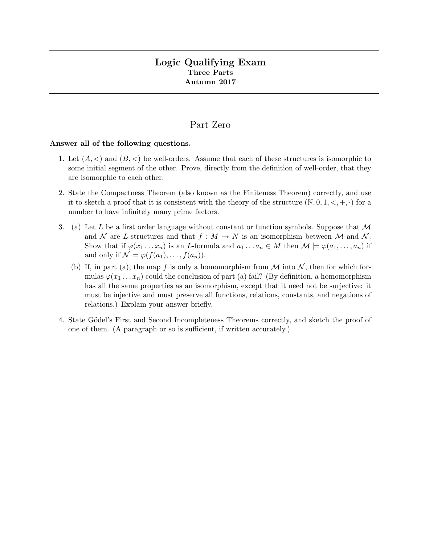## Logic Qualifying Exam Three Parts Autumn 2017

# Part Zero

#### Answer all of the following questions.

- 1. Let  $(A, \leq)$  and  $(B, \leq)$  be well-orders. Assume that each of these structures is isomorphic to some initial segment of the other. Prove, directly from the definition of well-order, that they are isomorphic to each other.
- 2. State the Compactness Theorem (also known as the Finiteness Theorem) correctly, and use it to sketch a proof that it is consistent with the theory of the structure  $(\mathbb{N}, 0, 1, \leq, +, \cdot)$  for a number to have infinitely many prime factors.
- 3. (a) Let L be a first order language without constant or function symbols. Suppose that  $\mathcal M$ and N are L-structures and that  $f : M \to N$  is an isomorphism between M and N. Show that if  $\varphi(x_1 \ldots x_n)$  is an L-formula and  $a_1 \ldots a_n \in M$  then  $\mathcal{M} \models \varphi(a_1, \ldots, a_n)$  if and only if  $\mathcal{N} \models \varphi(f(a_1), \ldots, f(a_n)).$ 
	- (b) If, in part (a), the map f is only a homomorphism from M into N, then for which formulas  $\varphi(x_1 \ldots x_n)$  could the conclusion of part (a) fail? (By definition, a homomorphism has all the same properties as an isomorphism, except that it need not be surjective: it must be injective and must preserve all functions, relations, constants, and negations of relations.) Explain your answer briefly.
- 4. State Gödel's First and Second Incompleteness Theorems correctly, and sketch the proof of one of them. (A paragraph or so is sufficient, if written accurately.)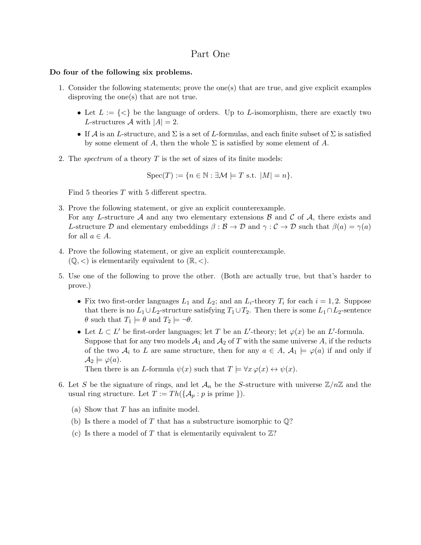## Part One

#### Do four of the following six problems.

- 1. Consider the following statements; prove the one(s) that are true, and give explicit examples disproving the one(s) that are not true.
	- Let  $L := \{ \leq \}$  be the language of orders. Up to L-isomorphism, there are exactly two L-structures A with  $|A|=2$ .
	- If A is an L-structure, and  $\Sigma$  is a set of L-formulas, and each finite subset of  $\Sigma$  is satisfied by some element of A, then the whole  $\Sigma$  is satisfied by some element of A.
- 2. The *spectrum* of a theory  $T$  is the set of sizes of its finite models:

$$
Spec(T) := \{ n \in \mathbb{N} : \exists \mathcal{M} \models T \text{ s.t. } |M| = n \}.
$$

Find 5 theories T with 5 different spectra.

- 3. Prove the following statement, or give an explicit counterexample. For any L-structure A and any two elementary extensions  $\beta$  and C of A, there exists and L-structure D and elementary embeddings  $\beta : \mathcal{B} \to \mathcal{D}$  and  $\gamma : \mathcal{C} \to \mathcal{D}$  such that  $\beta(a) = \gamma(a)$ for all  $a \in A$ .
- 4. Prove the following statement, or give an explicit counterexample.  $(\mathbb{Q}, \langle \rangle)$  is elementarily equivalent to  $(\mathbb{R}, \langle \rangle)$ .
- 5. Use one of the following to prove the other. (Both are actually true, but that's harder to prove.)
	- Fix two first-order languages  $L_1$  and  $L_2$ ; and an  $L_i$ -theory  $T_i$  for each  $i = 1, 2$ . Suppose that there is no  $L_1 \cup L_2$ -structure satisfying  $T_1 \cup T_2$ . Then there is some  $L_1 \cap L_2$ -sentence  $\theta$  such that  $T_1 \models \theta$  and  $T_2 \models \neg \theta$ .
	- Let  $L \subset L'$  be first-order languages; let T be an L'-theory; let  $\varphi(x)$  be an L'-formula. Suppose that for any two models  $\mathcal{A}_1$  and  $\mathcal{A}_2$  of T with the same universe A, if the reducts of the two  $A_i$  to L are same structure, then for any  $a \in A$ ,  $A_1 \models \varphi(a)$  if and only if  $\mathcal{A}_2 \models \varphi(a).$

Then there is an *L*-formula  $\psi(x)$  such that  $T \models \forall x \, \varphi(x) \leftrightarrow \psi(x)$ .

- 6. Let S be the signature of rings, and let  $\mathcal{A}_n$  be the S-structure with universe  $\mathbb{Z}/n\mathbb{Z}$  and the usual ring structure. Let  $T := Th(\{A_p : p \text{ is prime }\}).$ 
	- (a) Show that  $T$  has an infinite model.
	- (b) Is there a model of T that has a substructure isomorphic to  $\mathbb{Q}$ ?
	- (c) Is there a model of T that is elementarily equivalent to  $\mathbb{Z}$ ?